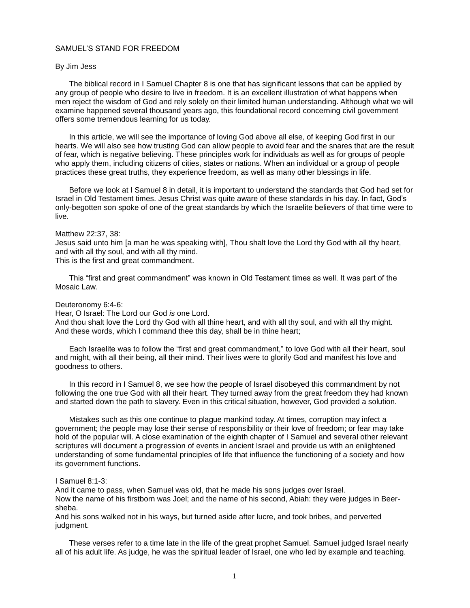# SAMUEL'S STAND FOR FREEDOM

#### By Jim Jess

The biblical record in I Samuel Chapter 8 is one that has significant lessons that can be applied by any group of people who desire to live in freedom. It is an excellent illustration of what happens when men reject the wisdom of God and rely solely on their limited human understanding. Although what we will examine happened several thousand years ago, this foundational record concerning civil government offers some tremendous learning for us today.

In this article, we will see the importance of loving God above all else, of keeping God first in our hearts. We will also see how trusting God can allow people to avoid fear and the snares that are the result of fear, which is negative believing. These principles work for individuals as well as for groups of people who apply them, including citizens of cities, states or nations. When an individual or a group of people practices these great truths, they experience freedom, as well as many other blessings in life.

Before we look at I Samuel 8 in detail, it is important to understand the standards that God had set for Israel in Old Testament times. Jesus Christ was quite aware of these standards in his day. In fact, God's only-begotten son spoke of one of the great standards by which the Israelite believers of that time were to live.

### Matthew 22:37, 38:

Jesus said unto him [a man he was speaking with], Thou shalt love the Lord thy God with all thy heart, and with all thy soul, and with all thy mind.

This is the first and great commandment.

This "first and great commandment" was known in Old Testament times as well. It was part of the Mosaic Law.

# Deuteronomy 6:4-6:

Hear, O Israel: The Lord our God *is* one Lord.

And thou shalt love the Lord thy God with all thine heart, and with all thy soul, and with all thy might. And these words, which I command thee this day, shall be in thine heart;

Each Israelite was to follow the "first and great commandment," to love God with all their heart, soul and might, with all their being, all their mind. Their lives were to glorify God and manifest his love and goodness to others.

In this record in I Samuel 8, we see how the people of Israel disobeyed this commandment by not following the one true God with all their heart. They turned away from the great freedom they had known and started down the path to slavery. Even in this critical situation, however, God provided a solution.

Mistakes such as this one continue to plague mankind today. At times, corruption may infect a government; the people may lose their sense of responsibility or their love of freedom; or fear may take hold of the popular will. A close examination of the eighth chapter of I Samuel and several other relevant scriptures will document a progression of events in ancient Israel and provide us with an enlightened understanding of some fundamental principles of life that influence the functioning of a society and how its government functions.

### I Samuel 8:1-3:

And it came to pass, when Samuel was old, that he made his sons judges over Israel. Now the name of his firstborn was Joel; and the name of his second, Abiah: they were judges in Beersheba.

And his sons walked not in his ways, but turned aside after lucre, and took bribes, and perverted judgment.

These verses refer to a time late in the life of the great prophet Samuel. Samuel judged Israel nearly all of his adult life. As judge, he was the spiritual leader of Israel, one who led by example and teaching.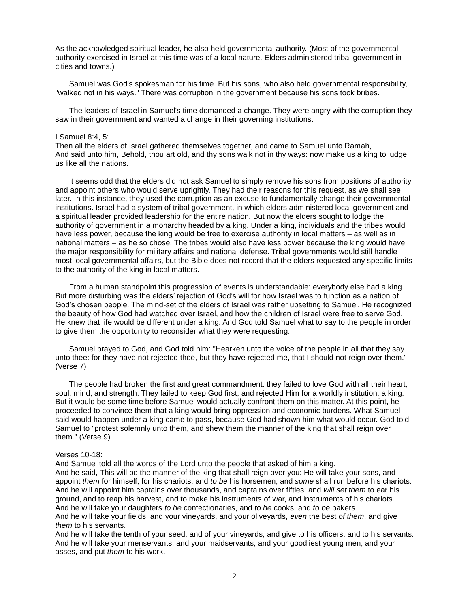As the acknowledged spiritual leader, he also held governmental authority. (Most of the governmental authority exercised in Israel at this time was of a local nature. Elders administered tribal government in cities and towns.)

Samuel was God's spokesman for his time. But his sons, who also held governmental responsibility, "walked not in his ways." There was corruption in the government because his sons took bribes.

The leaders of Israel in Samuel's time demanded a change. They were angry with the corruption they saw in their government and wanted a change in their governing institutions.

### I Samuel 8:4, 5:

Then all the elders of Israel gathered themselves together, and came to Samuel unto Ramah, And said unto him, Behold, thou art old, and thy sons walk not in thy ways: now make us a king to judge us like all the nations.

It seems odd that the elders did not ask Samuel to simply remove his sons from positions of authority and appoint others who would serve uprightly. They had their reasons for this request, as we shall see later. In this instance, they used the corruption as an excuse to fundamentally change their governmental institutions. Israel had a system of tribal government, in which elders administered local government and a spiritual leader provided leadership for the entire nation. But now the elders sought to lodge the authority of government in a monarchy headed by a king. Under a king, individuals and the tribes would have less power, because the king would be free to exercise authority in local matters – as well as in national matters – as he so chose. The tribes would also have less power because the king would have the major responsibility for military affairs and national defense. Tribal governments would still handle most local governmental affairs, but the Bible does not record that the elders requested any specific limits to the authority of the king in local matters.

From a human standpoint this progression of events is understandable: everybody else had a king. But more disturbing was the elders' rejection of God's will for how Israel was to function as a nation of God's chosen people. The mind-set of the elders of Israel was rather upsetting to Samuel. He recognized the beauty of how God had watched over Israel, and how the children of Israel were free to serve God. He knew that life would be different under a king. And God told Samuel what to say to the people in order to give them the opportunity to reconsider what they were requesting.

Samuel prayed to God, and God told him: "Hearken unto the voice of the people in all that they say unto thee: for they have not rejected thee, but they have rejected me, that I should not reign over them." (Verse 7)

The people had broken the first and great commandment: they failed to love God with all their heart, soul, mind, and strength. They failed to keep God first, and rejected Him for a worldly institution, a king. But it would be some time before Samuel would actually confront them on this matter. At this point, he proceeded to convince them that a king would bring oppression and economic burdens. What Samuel said would happen under a king came to pass, because God had shown him what would occur. God told Samuel to "protest solemnly unto them, and shew them the manner of the king that shall reign over them." (Verse 9)

#### Verses 10-18:

And Samuel told all the words of the Lord unto the people that asked of him a king. And he said, This will be the manner of the king that shall reign over you: He will take your sons, and appoint *them* for himself, for his chariots, and *to be* his horsemen; and *some* shall run before his chariots. And he will appoint him captains over thousands, and captains over fifties; and *will set them* to ear his ground, and to reap his harvest, and to make his instruments of war, and instruments of his chariots. And he will take your daughters *to be* confectionaries, and *to be* cooks, and *to be* bakers. And he will take your fields, and your vineyards, and your oliveyards, *even* the best *of them*, and give *them* to his servants.

And he will take the tenth of your seed, and of your vineyards, and give to his officers, and to his servants. And he will take your menservants, and your maidservants, and your goodliest young men, and your asses, and put *them* to his work.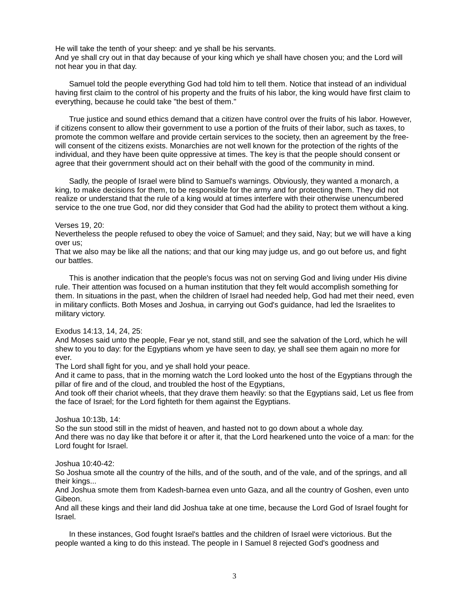He will take the tenth of your sheep: and ye shall be his servants. And ye shall cry out in that day because of your king which ye shall have chosen you; and the Lord will not hear you in that day.

Samuel told the people everything God had told him to tell them. Notice that instead of an individual having first claim to the control of his property and the fruits of his labor, the king would have first claim to everything, because he could take "the best of them."

True justice and sound ethics demand that a citizen have control over the fruits of his labor. However, if citizens consent to allow their government to use a portion of the fruits of their labor, such as taxes, to promote the common welfare and provide certain services to the society, then an agreement by the freewill consent of the citizens exists. Monarchies are not well known for the protection of the rights of the individual, and they have been quite oppressive at times. The key is that the people should consent or agree that their government should act on their behalf with the good of the community in mind.

Sadly, the people of Israel were blind to Samuel's warnings. Obviously, they wanted a monarch, a king, to make decisions for them, to be responsible for the army and for protecting them. They did not realize or understand that the rule of a king would at times interfere with their otherwise unencumbered service to the one true God, nor did they consider that God had the ability to protect them without a king.

# Verses 19, 20:

Nevertheless the people refused to obey the voice of Samuel; and they said, Nay; but we will have a king over us;

That we also may be like all the nations; and that our king may judge us, and go out before us, and fight our battles.

This is another indication that the people's focus was not on serving God and living under His divine rule. Their attention was focused on a human institution that they felt would accomplish something for them. In situations in the past, when the children of Israel had needed help, God had met their need, even in military conflicts. Both Moses and Joshua, in carrying out God's guidance, had led the Israelites to military victory.

# Exodus 14:13, 14, 24, 25:

And Moses said unto the people, Fear ye not, stand still, and see the salvation of the Lord, which he will shew to you to day: for the Egyptians whom ye have seen to day, ye shall see them again no more for ever.

The Lord shall fight for you, and ye shall hold your peace.

And it came to pass, that in the morning watch the Lord looked unto the host of the Egyptians through the pillar of fire and of the cloud, and troubled the host of the Egyptians,

And took off their chariot wheels, that they drave them heavily: so that the Egyptians said, Let us flee from the face of Israel; for the Lord fighteth for them against the Egyptians.

# Joshua 10:13b, 14:

So the sun stood still in the midst of heaven, and hasted not to go down about a whole day. And there was no day like that before it or after it, that the Lord hearkened unto the voice of a man: for the Lord fought for Israel.

Joshua 10:40-42:

So Joshua smote all the country of the hills, and of the south, and of the vale, and of the springs, and all their kings...

And Joshua smote them from Kadesh-barnea even unto Gaza, and all the country of Goshen, even unto Gibeon.

And all these kings and their land did Joshua take at one time, because the Lord God of Israel fought for Israel.

In these instances, God fought Israel's battles and the children of Israel were victorious. But the people wanted a king to do this instead. The people in I Samuel 8 rejected God's goodness and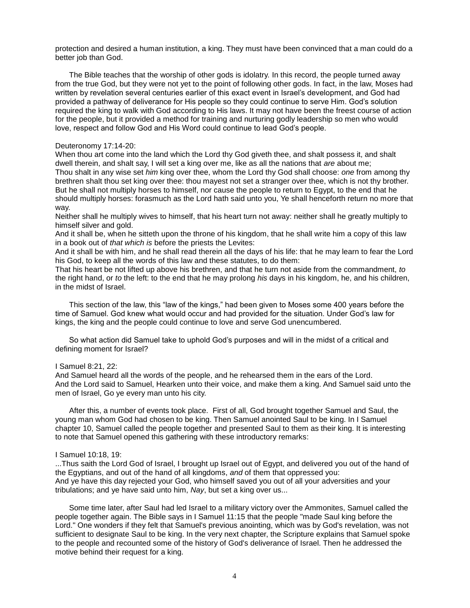protection and desired a human institution, a king. They must have been convinced that a man could do a better job than God.

The Bible teaches that the worship of other gods is idolatry. In this record, the people turned away from the true God, but they were not yet to the point of following other gods. In fact, in the law, Moses had written by revelation several centuries earlier of this exact event in Israel's development, and God had provided a pathway of deliverance for His people so they could continue to serve Him. God's solution required the king to walk with God according to His laws. It may not have been the freest course of action for the people, but it provided a method for training and nurturing godly leadership so men who would love, respect and follow God and His Word could continue to lead God's people.

#### Deuteronomy 17:14-20:

When thou art come into the land which the Lord thy God giveth thee, and shalt possess it, and shalt dwell therein, and shalt say, I will set a king over me, like as all the nations that *are* about me; Thou shalt in any wise set *him* king over thee, whom the Lord thy God shall choose: *one* from among thy brethren shalt thou set king over thee: thou mayest not set a stranger over thee, which is not thy brother. But he shall not multiply horses to himself, nor cause the people to return to Egypt, to the end that he should multiply horses: forasmuch as the Lord hath said unto you, Ye shall henceforth return no more that way.

Neither shall he multiply wives to himself, that his heart turn not away: neither shall he greatly multiply to himself silver and gold.

And it shall be, when he sitteth upon the throne of his kingdom, that he shall write him a copy of this law in a book out of *that which is* before the priests the Levites:

And it shall be with him, and he shall read therein all the days of his life: that he may learn to fear the Lord his God, to keep all the words of this law and these statutes, to do them:

That his heart be not lifted up above his brethren, and that he turn not aside from the commandment, *to* the right hand, or *to* the left: to the end that he may prolong *his* days in his kingdom, he, and his children, in the midst of Israel.

This section of the law, this "law of the kings," had been given to Moses some 400 years before the time of Samuel. God knew what would occur and had provided for the situation. Under God's law for kings, the king and the people could continue to love and serve God unencumbered.

So what action did Samuel take to uphold God's purposes and will in the midst of a critical and defining moment for Israel?

### I Samuel 8:21, 22:

And Samuel heard all the words of the people, and he rehearsed them in the ears of the Lord. And the Lord said to Samuel, Hearken unto their voice, and make them a king. And Samuel said unto the men of Israel, Go ye every man unto his city.

After this, a number of events took place. First of all, God brought together Samuel and Saul, the young man whom God had chosen to be king. Then Samuel anointed Saul to be king. In I Samuel chapter 10, Samuel called the people together and presented Saul to them as their king. It is interesting to note that Samuel opened this gathering with these introductory remarks:

#### I Samuel 10:18, 19:

...Thus saith the Lord God of Israel, I brought up Israel out of Egypt, and delivered you out of the hand of the Egyptians, and out of the hand of all kingdoms, *and* of them that oppressed you: And ye have this day rejected your God, who himself saved you out of all your adversities and your tribulations; and ye have said unto him, *Nay*, but set a king over us...

Some time later, after Saul had led Israel to a military victory over the Ammonites, Samuel called the people together again. The Bible says in I Samuel 11:15 that the people "made Saul king before the Lord." One wonders if they felt that Samuel's previous anointing, which was by God's revelation, was not sufficient to designate Saul to be king. In the very next chapter, the Scripture explains that Samuel spoke to the people and recounted some of the history of God's deliverance of Israel. Then he addressed the motive behind their request for a king.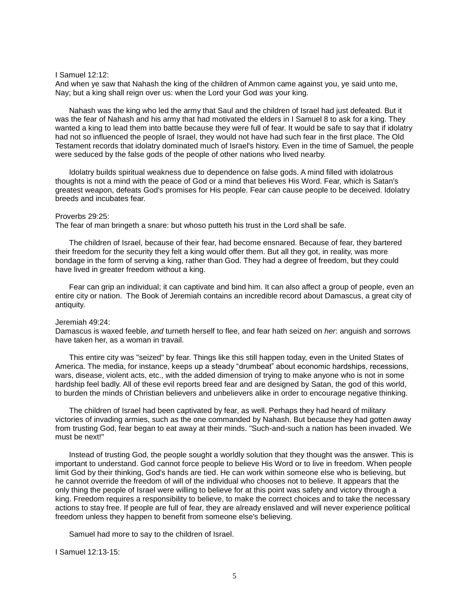#### I Samuel 12:12:

And when ye saw that Nahash the king of the children of Ammon came against you, ye said unto me, Nay; but a king shall reign over us: when the Lord your God *was* your king.

Nahash was the king who led the army that Saul and the children of Israel had just defeated. But it was the fear of Nahash and his army that had motivated the elders in I Samuel 8 to ask for a king. They wanted a king to lead them into battle because they were full of fear. It would be safe to say that if idolatry had not so influenced the people of Israel, they would not have had such fear in the first place. The Old Testament records that idolatry dominated much of Israel's history. Even in the time of Samuel, the people were seduced by the false gods of the people of other nations who lived nearby.

Idolatry builds spiritual weakness due to dependence on false gods. A mind filled with idolatrous thoughts is not a mind with the peace of God or a mind that believes His Word. Fear, which is Satan's greatest weapon, defeats God's promises for His people. Fear can cause people to be deceived. Idolatry breeds and incubates fear.

#### Proverbs 29:25:

The fear of man bringeth a snare: but whoso putteth his trust in the Lord shall be safe.

The children of Israel, because of their fear, had become ensnared. Because of fear, they bartered their freedom for the security they felt a king would offer them. But all they got, in reality, was more bondage in the form of serving a king, rather than God. They had a degree of freedom, but they could have lived in greater freedom without a king.

Fear can grip an individual; it can captivate and bind him. It can also affect a group of people, even an entire city or nation. The Book of Jeremiah contains an incredible record about Damascus, a great city of antiquity.

#### Jeremiah 49:24:

Damascus is waxed feeble, *and* turneth herself to flee, and fear hath seized on *her*: anguish and sorrows have taken her, as a woman in travail.

This entire city was "seized" by fear. Things like this still happen today, even in the United States of America. The media, for instance, keeps up a steady "drumbeat" about economic hardships, recessions, wars, disease, violent acts, etc., with the added dimension of trying to make anyone who is not in some hardship feel badly. All of these evil reports breed fear and are designed by Satan, the god of this world, to burden the minds of Christian believers and unbelievers alike in order to encourage negative thinking.

The children of Israel had been captivated by fear, as well. Perhaps they had heard of military victories of invading armies, such as the one commanded by Nahash. But because they had gotten away from trusting God, fear began to eat away at their minds. "Such-and-such a nation has been invaded. We must be next!"

Instead of trusting God, the people sought a worldly solution that they thought was the answer. This is important to understand. God cannot force people to believe His Word or to live in freedom. When people limit God by their thinking, God's hands are tied. He can work within someone else who is believing, but he cannot override the freedom of will of the individual who chooses not to believe. It appears that the only thing the people of Israel were willing to believe for at this point was safety and victory through a king. Freedom requires a responsibility to believe, to make the correct choices and to take the necessary actions to stay free. If people are full of fear, they are already enslaved and will never experience political freedom unless they happen to benefit from someone else's believing.

Samuel had more to say to the children of Israel.

I Samuel 12:13-15: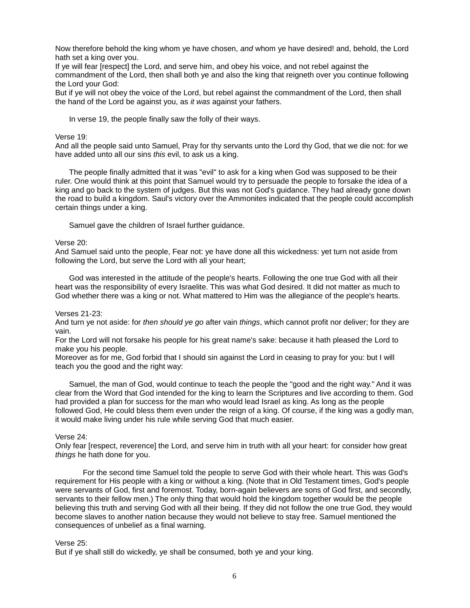Now therefore behold the king whom ye have chosen, *and* whom ye have desired! and, behold, the Lord hath set a king over you.

If ye will fear [respect] the Lord, and serve him, and obey his voice, and not rebel against the commandment of the Lord, then shall both ye and also the king that reigneth over you continue following the Lord your God:

But if ye will not obey the voice of the Lord, but rebel against the commandment of the Lord, then shall the hand of the Lord be against you, as *it was* against your fathers.

In verse 19, the people finally saw the folly of their ways.

# Verse 19:

And all the people said unto Samuel, Pray for thy servants unto the Lord thy God, that we die not: for we have added unto all our sins *this* evil, to ask us a king.

The people finally admitted that it was "evil" to ask for a king when God was supposed to be their ruler. One would think at this point that Samuel would try to persuade the people to forsake the idea of a king and go back to the system of judges. But this was not God's guidance. They had already gone down the road to build a kingdom. Saul's victory over the Ammonites indicated that the people could accomplish certain things under a king.

Samuel gave the children of Israel further guidance.

# Verse 20:

And Samuel said unto the people, Fear not: ye have done all this wickedness: yet turn not aside from following the Lord, but serve the Lord with all your heart;

God was interested in the attitude of the people's hearts. Following the one true God with all their heart was the responsibility of every Israelite. This was what God desired. It did not matter as much to God whether there was a king or not. What mattered to Him was the allegiance of the people's hearts.

#### Verses 21-23:

And turn ye not aside: for *then should ye go* after vain *things*, which cannot profit nor deliver; for they are vain.

For the Lord will not forsake his people for his great name's sake: because it hath pleased the Lord to make you his people.

Moreover as for me, God forbid that I should sin against the Lord in ceasing to pray for you: but I will teach you the good and the right way:

Samuel, the man of God, would continue to teach the people the "good and the right way." And it was clear from the Word that God intended for the king to learn the Scriptures and live according to them. God had provided a plan for success for the man who would lead Israel as king. As long as the people followed God, He could bless them even under the reign of a king. Of course, if the king was a godly man, it would make living under his rule while serving God that much easier.

#### Verse 24:

Only fear [respect, reverence] the Lord, and serve him in truth with all your heart: for consider how great *things* he hath done for you.

For the second time Samuel told the people to serve God with their whole heart. This was God's requirement for His people with a king or without a king. (Note that in Old Testament times, God's people were servants of God, first and foremost. Today, born-again believers are sons of God first, and secondly, servants to their fellow men.) The only thing that would hold the kingdom together would be the people believing this truth and serving God with all their being. If they did not follow the one true God, they would become slaves to another nation because they would not believe to stay free. Samuel mentioned the consequences of unbelief as a final warning.

#### Verse 25:

But if ye shall still do wickedly, ye shall be consumed, both ye and your king.